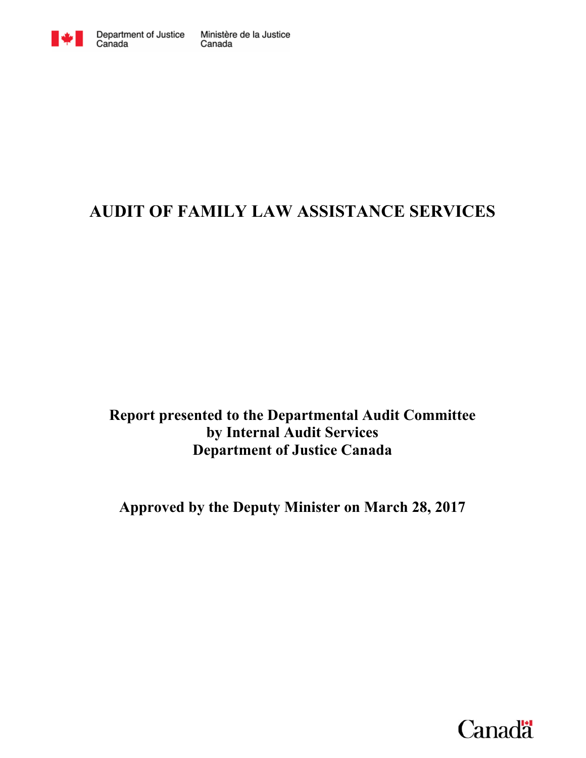

# **AUDIT OF FAMILY LAW ASSISTANCE SERVICES**

**Report presented to the Departmental Audit Committee by Internal Audit Services Department of Justice Canada** 

**Approved by the Deputy Minister on March 28, 2017** 

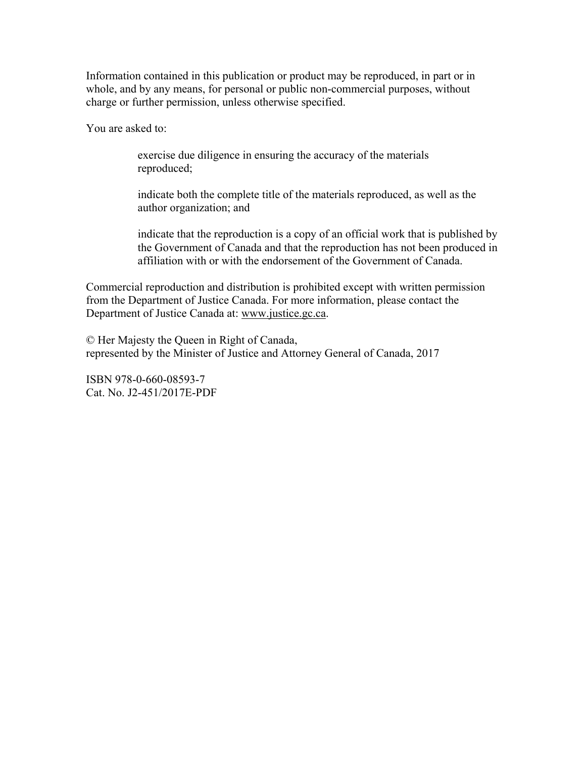Information contained in this publication or product may be reproduced, in part or in whole, and by any means, for personal or public non-commercial purposes, without charge or further permission, unless otherwise specified.

You are asked to:

exercise due diligence in ensuring the accuracy of the materials reproduced;

indicate both the complete title of the materials reproduced, as well as the author organization; and

indicate that the reproduction is a copy of an official work that is published by the Government of Canada and that the reproduction has not been produced in affiliation with or with the endorsement of the Government of Canada.

Commercial reproduction and distribution is prohibited except with written permission from the Department of Justice Canada. For more information, please contact the Department of Justice Canada at: www.justice.gc.ca.

© Her Majesty the Queen in Right of Canada, represented by the Minister of Justice and Attorney General of Canada, 2017

ISBN 978-0-660-08593-7 Cat. No. J2-451/2017E-PDF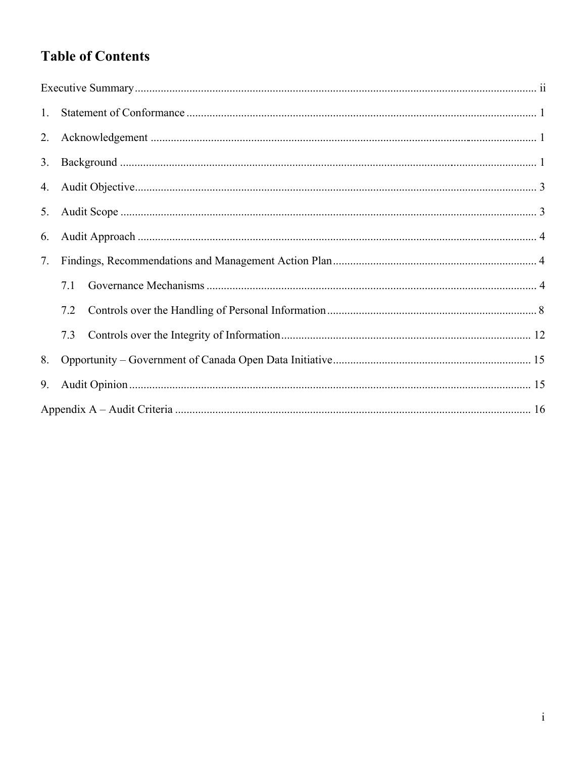# **Table of Contents**

| 1. |     |  |
|----|-----|--|
|    |     |  |
| 3. |     |  |
|    |     |  |
|    |     |  |
| 6. |     |  |
| 7. |     |  |
|    | 7.1 |  |
|    | 7.2 |  |
|    | 7.3 |  |
| 8. |     |  |
| 9. |     |  |
|    |     |  |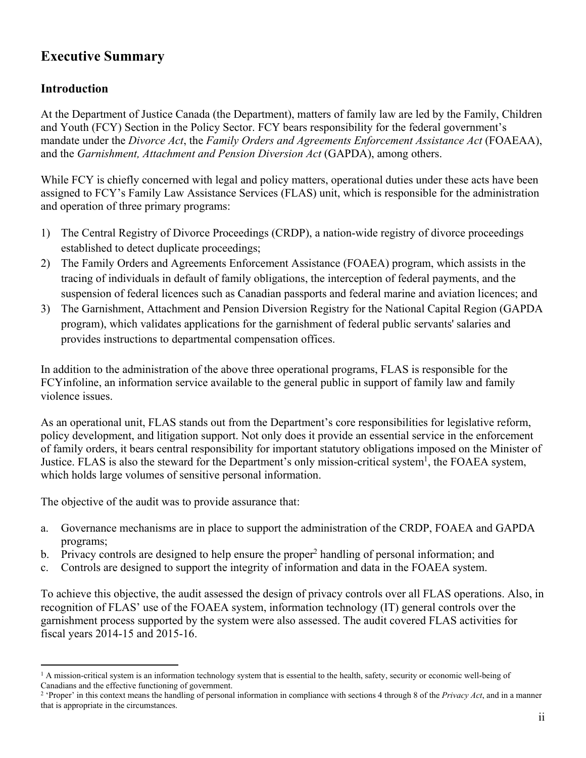# **Executive Summary**

### **Introduction**

At the Department of Justice Canada (the Department), matters of family law are led by the Family, Children and Youth (FCY) Section in the Policy Sector. FCY bears responsibility for the federal government's mandate under the *Divorce Act*, the *Family Orders and Agreements Enforcement Assistance Act* (FOAEAA), and the *Garnishment, Attachment and Pension Diversion Act* (GAPDA), among others.

While FCY is chiefly concerned with legal and policy matters, operational duties under these acts have been assigned to FCY's Family Law Assistance Services (FLAS) unit, which is responsible for the administration and operation of three primary programs:

- 1) The Central Registry of Divorce Proceedings (CRDP), a nation-wide registry of divorce proceedings established to detect duplicate proceedings;
- 2) The Family Orders and Agreements Enforcement Assistance (FOAEA) program, which assists in the tracing of individuals in default of family obligations, the interception of federal payments, and the suspension of federal licences such as Canadian passports and federal marine and aviation licences; and
- 3) The Garnishment, Attachment and Pension Diversion Registry for the National Capital Region (GAPDA program), which validates applications for the garnishment of federal public servants' salaries and provides instructions to departmental compensation offices.

In addition to the administration of the above three operational programs, FLAS is responsible for the FCYinfoline, an information service available to the general public in support of family law and family violence issues.

As an operational unit, FLAS stands out from the Department's core responsibilities for legislative reform, policy development, and litigation support. Not only does it provide an essential service in the enforcement of family orders, it bears central responsibility for important statutory obligations imposed on the Minister of Justice. FLAS is also the steward for the Department's only mission-critical system<sup>1</sup>, the FOAEA system, which holds large volumes of sensitive personal information.

The objective of the audit was to provide assurance that:

- a. Governance mechanisms are in place to support the administration of the CRDP, FOAEA and GAPDA programs;
- b. Privacy controls are designed to help ensure the proper<sup>2</sup> handling of personal information; and
- c. Controls are designed to support the integrity of information and data in the FOAEA system.

To achieve this objective, the audit assessed the design of privacy controls over all FLAS operations. Also, in recognition of FLAS' use of the FOAEA system, information technology (IT) general controls over the garnishment process supported by the system were also assessed. The audit covered FLAS activities for fiscal years 2014-15 and 2015-16.

  $<sup>1</sup>$  A mission-critical system is an information technology system that is essential to the health, safety, security or economic well-being of</sup> Canadians and the effective functioning of government.

<sup>2</sup> 'Proper' in this context means the handling of personal information in compliance with sections 4 through 8 of the *Privacy Act*, and in a manner that is appropriate in the circumstances.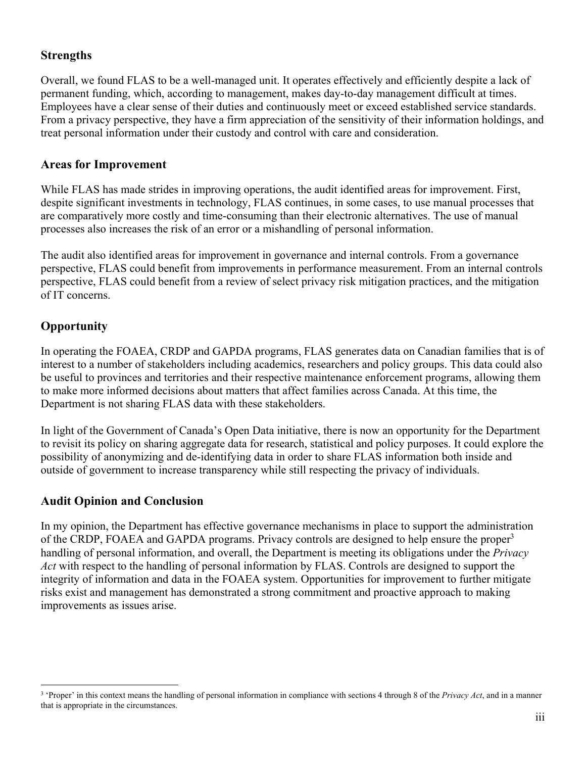### **Strengths**

Overall, we found FLAS to be a well-managed unit. It operates effectively and efficiently despite a lack of permanent funding, which, according to management, makes day-to-day management difficult at times. Employees have a clear sense of their duties and continuously meet or exceed established service standards. From a privacy perspective, they have a firm appreciation of the sensitivity of their information holdings, and treat personal information under their custody and control with care and consideration.

#### **Areas for Improvement**

While FLAS has made strides in improving operations, the audit identified areas for improvement. First, despite significant investments in technology, FLAS continues, in some cases, to use manual processes that are comparatively more costly and time-consuming than their electronic alternatives. The use of manual processes also increases the risk of an error or a mishandling of personal information.

The audit also identified areas for improvement in governance and internal controls. From a governance perspective, FLAS could benefit from improvements in performance measurement. From an internal controls perspective, FLAS could benefit from a review of select privacy risk mitigation practices, and the mitigation of IT concerns.

### **Opportunity**

In operating the FOAEA, CRDP and GAPDA programs, FLAS generates data on Canadian families that is of interest to a number of stakeholders including academics, researchers and policy groups. This data could also be useful to provinces and territories and their respective maintenance enforcement programs, allowing them to make more informed decisions about matters that affect families across Canada. At this time, the Department is not sharing FLAS data with these stakeholders.

In light of the Government of Canada's Open Data initiative, there is now an opportunity for the Department to revisit its policy on sharing aggregate data for research, statistical and policy purposes. It could explore the possibility of anonymizing and de-identifying data in order to share FLAS information both inside and outside of government to increase transparency while still respecting the privacy of individuals.

#### **Audit Opinion and Conclusion**

In my opinion, the Department has effective governance mechanisms in place to support the administration of the CRDP, FOAEA and GAPDA programs. Privacy controls are designed to help ensure the proper<sup>3</sup> handling of personal information, and overall, the Department is meeting its obligations under the *Privacy Act* with respect to the handling of personal information by FLAS. Controls are designed to support the integrity of information and data in the FOAEA system. Opportunities for improvement to further mitigate risks exist and management has demonstrated a strong commitment and proactive approach to making improvements as issues arise.

<sup>3</sup> 'Proper' in this context means the handling of personal information in compliance with sections 4 through 8 of the *Privacy Act*, and in a manner that is appropriate in the circumstances.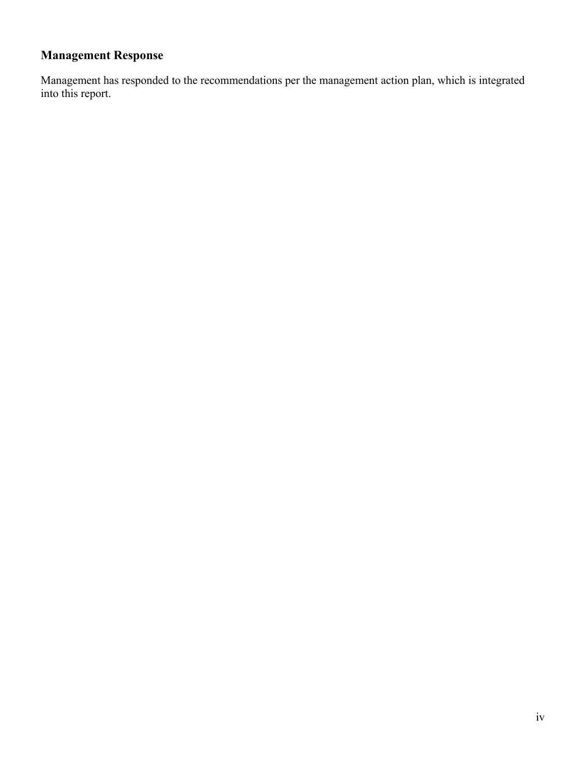# **Management Response**

Management has responded to the recommendations per the management action plan, which is integrated into this report.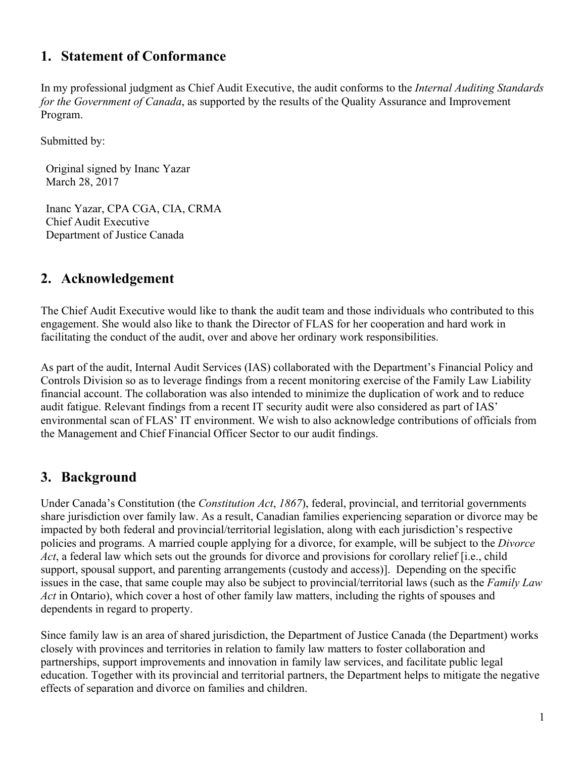### **1. Statement of Conformance**

In my professional judgment as Chief Audit Executive, the audit conforms to the *Internal Auditing Standards for the Government of Canada*, as supported by the results of the Quality Assurance and Improvement Program.

Submitted by:

Original signed by Inanc Yazar March 28, 2017

Inanc Yazar, CPA CGA, CIA, CRMA Chief Audit Executive Department of Justice Canada

### **2. Acknowledgement**

The Chief Audit Executive would like to thank the audit team and those individuals who contributed to this engagement. She would also like to thank the Director of FLAS for her cooperation and hard work in facilitating the conduct of the audit, over and above her ordinary work responsibilities.

As part of the audit, Internal Audit Services (IAS) collaborated with the Department's Financial Policy and Controls Division so as to leverage findings from a recent monitoring exercise of the Family Law Liability financial account. The collaboration was also intended to minimize the duplication of work and to reduce audit fatigue. Relevant findings from a recent IT security audit were also considered as part of IAS' environmental scan of FLAS' IT environment. We wish to also acknowledge contributions of officials from the Management and Chief Financial Officer Sector to our audit findings.

## **3. Background**

Under Canada's Constitution (the *Constitution Act*, *1867*), federal, provincial, and territorial governments share jurisdiction over family law. As a result, Canadian families experiencing separation or divorce may be impacted by both federal and provincial/territorial legislation, along with each jurisdiction's respective policies and programs. A married couple applying for a divorce, for example, will be subject to the *Divorce Act*, a federal law which sets out the grounds for divorce and provisions for corollary relief [i.e., child support, spousal support, and parenting arrangements (custody and access)]. Depending on the specific issues in the case, that same couple may also be subject to provincial/territorial laws (such as the *Family Law Act* in Ontario), which cover a host of other family law matters, including the rights of spouses and dependents in regard to property.

Since family law is an area of shared jurisdiction, the Department of Justice Canada (the Department) works closely with provinces and territories in relation to family law matters to foster collaboration and partnerships, support improvements and innovation in family law services, and facilitate public legal education. Together with its provincial and territorial partners, the Department helps to mitigate the negative effects of separation and divorce on families and children.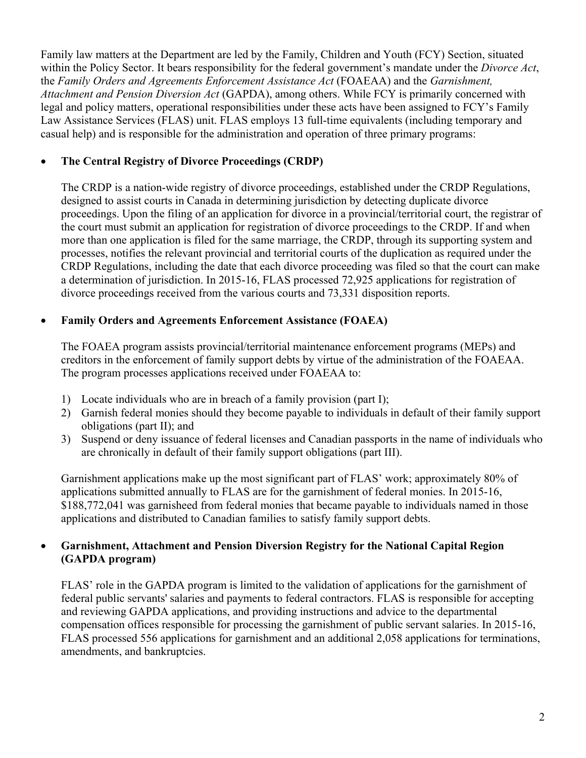Family law matters at the Department are led by the Family, Children and Youth (FCY) Section, situated within the Policy Sector. It bears responsibility for the federal government's mandate under the *Divorce Act*, the *Family Orders and Agreements Enforcement Assistance Act* (FOAEAA) and the *Garnishment, Attachment and Pension Diversion Act* (GAPDA), among others. While FCY is primarily concerned with legal and policy matters, operational responsibilities under these acts have been assigned to FCY's Family Law Assistance Services (FLAS) unit. FLAS employs 13 full-time equivalents (including temporary and casual help) and is responsible for the administration and operation of three primary programs:

#### **The Central Registry of Divorce Proceedings (CRDP)**

The CRDP is a nation-wide registry of divorce proceedings, established under the CRDP Regulations, designed to assist courts in Canada in determining jurisdiction by detecting duplicate divorce proceedings. Upon the filing of an application for divorce in a provincial/territorial court, the registrar of the court must submit an application for registration of divorce proceedings to the CRDP. If and when more than one application is filed for the same marriage, the CRDP, through its supporting system and processes, notifies the relevant provincial and territorial courts of the duplication as required under the CRDP Regulations, including the date that each divorce proceeding was filed so that the court can make a determination of jurisdiction. In 2015-16, FLAS processed 72,925 applications for registration of divorce proceedings received from the various courts and 73,331 disposition reports.

#### **Family Orders and Agreements Enforcement Assistance (FOAEA)**

The FOAEA program assists provincial/territorial maintenance enforcement programs (MEPs) and creditors in the enforcement of family support debts by virtue of the administration of the FOAEAA. The program processes applications received under FOAEAA to:

- 1) Locate individuals who are in breach of a family provision (part I);
- 2) Garnish federal monies should they become payable to individuals in default of their family support obligations (part II); and
- 3) Suspend or deny issuance of federal licenses and Canadian passports in the name of individuals who are chronically in default of their family support obligations (part III).

Garnishment applications make up the most significant part of FLAS' work; approximately 80% of applications submitted annually to FLAS are for the garnishment of federal monies. In 2015-16, \$188,772,041 was garnisheed from federal monies that became payable to individuals named in those applications and distributed to Canadian families to satisfy family support debts.

#### **Garnishment, Attachment and Pension Diversion Registry for the National Capital Region (GAPDA program)**

FLAS' role in the GAPDA program is limited to the validation of applications for the garnishment of federal public servants' salaries and payments to federal contractors. FLAS is responsible for accepting and reviewing GAPDA applications, and providing instructions and advice to the departmental compensation offices responsible for processing the garnishment of public servant salaries. In 2015-16, FLAS processed 556 applications for garnishment and an additional 2,058 applications for terminations, amendments, and bankruptcies.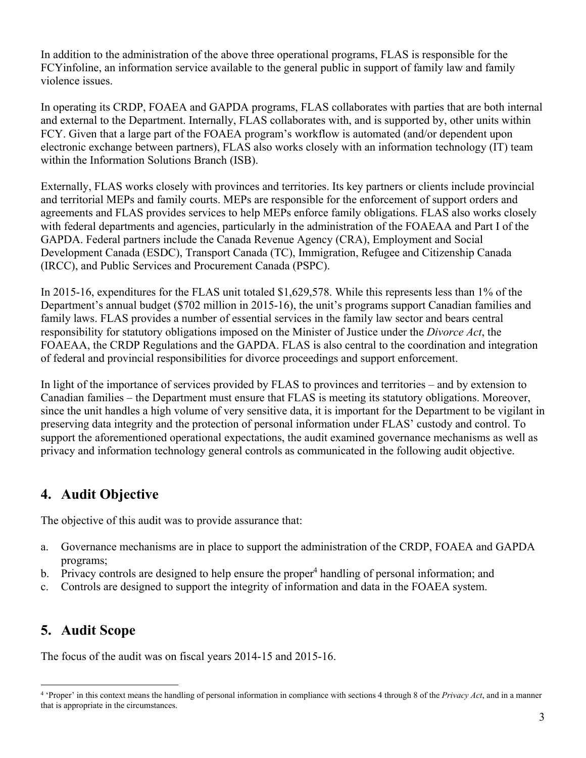In addition to the administration of the above three operational programs, FLAS is responsible for the FCYinfoline, an information service available to the general public in support of family law and family violence issues.

In operating its CRDP, FOAEA and GAPDA programs, FLAS collaborates with parties that are both internal and external to the Department. Internally, FLAS collaborates with, and is supported by, other units within FCY. Given that a large part of the FOAEA program's workflow is automated (and/or dependent upon electronic exchange between partners), FLAS also works closely with an information technology (IT) team within the Information Solutions Branch (ISB).

Externally, FLAS works closely with provinces and territories. Its key partners or clients include provincial and territorial MEPs and family courts. MEPs are responsible for the enforcement of support orders and agreements and FLAS provides services to help MEPs enforce family obligations. FLAS also works closely with federal departments and agencies, particularly in the administration of the FOAEAA and Part I of the GAPDA. Federal partners include the Canada Revenue Agency (CRA), Employment and Social Development Canada (ESDC), Transport Canada (TC), Immigration, Refugee and Citizenship Canada (IRCC), and Public Services and Procurement Canada (PSPC).

In 2015-16, expenditures for the FLAS unit totaled \$1,629,578. While this represents less than 1% of the Department's annual budget (\$702 million in 2015-16), the unit's programs support Canadian families and family laws. FLAS provides a number of essential services in the family law sector and bears central responsibility for statutory obligations imposed on the Minister of Justice under the *Divorce Act*, the FOAEAA, the CRDP Regulations and the GAPDA. FLAS is also central to the coordination and integration of federal and provincial responsibilities for divorce proceedings and support enforcement.

In light of the importance of services provided by FLAS to provinces and territories – and by extension to Canadian families – the Department must ensure that FLAS is meeting its statutory obligations. Moreover, since the unit handles a high volume of very sensitive data, it is important for the Department to be vigilant in preserving data integrity and the protection of personal information under FLAS' custody and control. To support the aforementioned operational expectations, the audit examined governance mechanisms as well as privacy and information technology general controls as communicated in the following audit objective.

## **4. Audit Objective**

The objective of this audit was to provide assurance that:

- a. Governance mechanisms are in place to support the administration of the CRDP, FOAEA and GAPDA programs;
- b. Privacy controls are designed to help ensure the proper<sup>4</sup> handling of personal information; and
- c. Controls are designed to support the integrity of information and data in the FOAEA system.

## **5. Audit Scope**

The focus of the audit was on fiscal years 2014-15 and 2015-16.

 4 'Proper' in this context means the handling of personal information in compliance with sections 4 through 8 of the *Privacy Act*, and in a manner that is appropriate in the circumstances.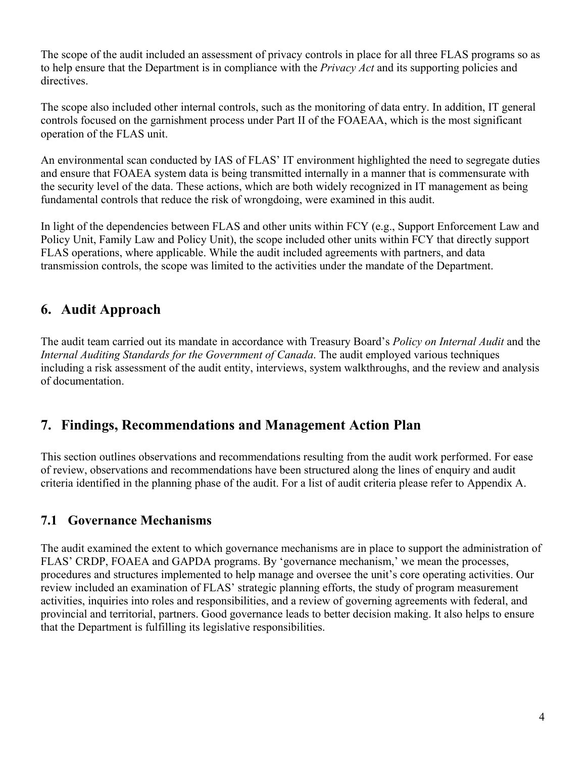The scope of the audit included an assessment of privacy controls in place for all three FLAS programs so as to help ensure that the Department is in compliance with the *Privacy Act* and its supporting policies and directives.

The scope also included other internal controls, such as the monitoring of data entry. In addition, IT general controls focused on the garnishment process under Part II of the FOAEAA, which is the most significant operation of the FLAS unit.

An environmental scan conducted by IAS of FLAS' IT environment highlighted the need to segregate duties and ensure that FOAEA system data is being transmitted internally in a manner that is commensurate with the security level of the data. These actions, which are both widely recognized in IT management as being fundamental controls that reduce the risk of wrongdoing, were examined in this audit.

In light of the dependencies between FLAS and other units within FCY (e.g., Support Enforcement Law and Policy Unit, Family Law and Policy Unit), the scope included other units within FCY that directly support FLAS operations, where applicable. While the audit included agreements with partners, and data transmission controls, the scope was limited to the activities under the mandate of the Department.

## **6. Audit Approach**

The audit team carried out its mandate in accordance with Treasury Board's *Policy on Internal Audit* and the *Internal Auditing Standards for the Government of Canada*. The audit employed various techniques including a risk assessment of the audit entity, interviews, system walkthroughs, and the review and analysis of documentation.

## **7. Findings, Recommendations and Management Action Plan**

This section outlines observations and recommendations resulting from the audit work performed. For ease of review, observations and recommendations have been structured along the lines of enquiry and audit criteria identified in the planning phase of the audit. For a list of audit criteria please refer to Appendix A.

## **7.1 Governance Mechanisms**

The audit examined the extent to which governance mechanisms are in place to support the administration of FLAS' CRDP, FOAEA and GAPDA programs. By 'governance mechanism,' we mean the processes, procedures and structures implemented to help manage and oversee the unit's core operating activities. Our review included an examination of FLAS' strategic planning efforts, the study of program measurement activities, inquiries into roles and responsibilities, and a review of governing agreements with federal, and provincial and territorial, partners. Good governance leads to better decision making. It also helps to ensure that the Department is fulfilling its legislative responsibilities.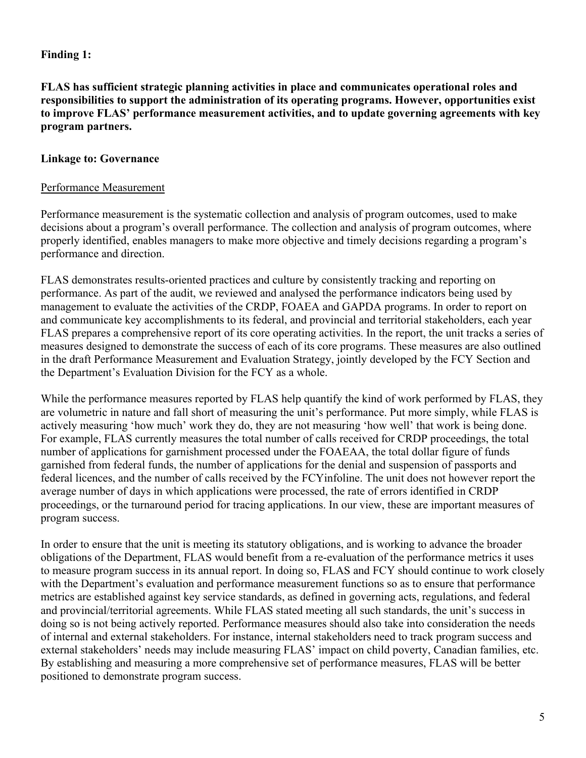#### **Finding 1:**

**FLAS has sufficient strategic planning activities in place and communicates operational roles and responsibilities to support the administration of its operating programs. However, opportunities exist to improve FLAS' performance measurement activities, and to update governing agreements with key program partners.** 

#### **Linkage to: Governance**

#### Performance Measurement

Performance measurement is the systematic collection and analysis of program outcomes, used to make decisions about a program's overall performance. The collection and analysis of program outcomes, where properly identified, enables managers to make more objective and timely decisions regarding a program's performance and direction.

FLAS demonstrates results-oriented practices and culture by consistently tracking and reporting on performance. As part of the audit, we reviewed and analysed the performance indicators being used by management to evaluate the activities of the CRDP, FOAEA and GAPDA programs. In order to report on and communicate key accomplishments to its federal, and provincial and territorial stakeholders, each year FLAS prepares a comprehensive report of its core operating activities. In the report, the unit tracks a series of measures designed to demonstrate the success of each of its core programs. These measures are also outlined in the draft Performance Measurement and Evaluation Strategy, jointly developed by the FCY Section and the Department's Evaluation Division for the FCY as a whole.

While the performance measures reported by FLAS help quantify the kind of work performed by FLAS, they are volumetric in nature and fall short of measuring the unit's performance. Put more simply, while FLAS is actively measuring 'how much' work they do, they are not measuring 'how well' that work is being done. For example, FLAS currently measures the total number of calls received for CRDP proceedings, the total number of applications for garnishment processed under the FOAEAA, the total dollar figure of funds garnished from federal funds, the number of applications for the denial and suspension of passports and federal licences, and the number of calls received by the FCYinfoline. The unit does not however report the average number of days in which applications were processed, the rate of errors identified in CRDP proceedings, or the turnaround period for tracing applications. In our view, these are important measures of program success.

In order to ensure that the unit is meeting its statutory obligations, and is working to advance the broader obligations of the Department, FLAS would benefit from a re-evaluation of the performance metrics it uses to measure program success in its annual report. In doing so, FLAS and FCY should continue to work closely with the Department's evaluation and performance measurement functions so as to ensure that performance metrics are established against key service standards, as defined in governing acts, regulations, and federal and provincial/territorial agreements. While FLAS stated meeting all such standards, the unit's success in doing so is not being actively reported. Performance measures should also take into consideration the needs of internal and external stakeholders. For instance, internal stakeholders need to track program success and external stakeholders' needs may include measuring FLAS' impact on child poverty, Canadian families, etc. By establishing and measuring a more comprehensive set of performance measures, FLAS will be better positioned to demonstrate program success.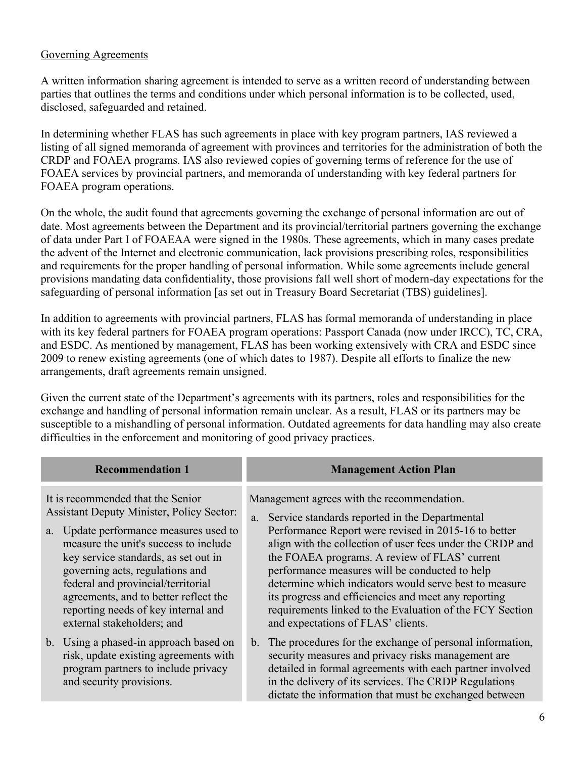#### Governing Agreements

A written information sharing agreement is intended to serve as a written record of understanding between parties that outlines the terms and conditions under which personal information is to be collected, used, disclosed, safeguarded and retained.

In determining whether FLAS has such agreements in place with key program partners, IAS reviewed a listing of all signed memoranda of agreement with provinces and territories for the administration of both the CRDP and FOAEA programs. IAS also reviewed copies of governing terms of reference for the use of FOAEA services by provincial partners, and memoranda of understanding with key federal partners for FOAEA program operations.

On the whole, the audit found that agreements governing the exchange of personal information are out of date. Most agreements between the Department and its provincial/territorial partners governing the exchange of data under Part I of FOAEAA were signed in the 1980s. These agreements, which in many cases predate the advent of the Internet and electronic communication, lack provisions prescribing roles, responsibilities and requirements for the proper handling of personal information. While some agreements include general provisions mandating data confidentiality, those provisions fall well short of modern-day expectations for the safeguarding of personal information [as set out in Treasury Board Secretariat (TBS) guidelines].

In addition to agreements with provincial partners, FLAS has formal memoranda of understanding in place with its key federal partners for FOAEA program operations: Passport Canada (now under IRCC), TC, CRA, and ESDC. As mentioned by management, FLAS has been working extensively with CRA and ESDC since 2009 to renew existing agreements (one of which dates to 1987). Despite all efforts to finalize the new arrangements, draft agreements remain unsigned.

Given the current state of the Department's agreements with its partners, roles and responsibilities for the exchange and handling of personal information remain unclear. As a result, FLAS or its partners may be susceptible to a mishandling of personal information. Outdated agreements for data handling may also create difficulties in the enforcement and monitoring of good privacy practices.

| <b>Recommendation 1</b>                                                                                                                                                                                                                                                                                                                                                                                 | <b>Management Action Plan</b>                                                                                                                                                                                                                                                                                                                                                                                                                                                                                                               |
|---------------------------------------------------------------------------------------------------------------------------------------------------------------------------------------------------------------------------------------------------------------------------------------------------------------------------------------------------------------------------------------------------------|---------------------------------------------------------------------------------------------------------------------------------------------------------------------------------------------------------------------------------------------------------------------------------------------------------------------------------------------------------------------------------------------------------------------------------------------------------------------------------------------------------------------------------------------|
| It is recommended that the Senior<br><b>Assistant Deputy Minister, Policy Sector:</b><br>a. Update performance measures used to<br>measure the unit's success to include<br>key service standards, as set out in<br>governing acts, regulations and<br>federal and provincial/territorial<br>agreements, and to better reflect the<br>reporting needs of key internal and<br>external stakeholders; and | Management agrees with the recommendation.<br>a. Service standards reported in the Departmental<br>Performance Report were revised in 2015-16 to better<br>align with the collection of user fees under the CRDP and<br>the FOAEA programs. A review of FLAS' current<br>performance measures will be conducted to help<br>determine which indicators would serve best to measure<br>its progress and efficiencies and meet any reporting<br>requirements linked to the Evaluation of the FCY Section<br>and expectations of FLAS' clients. |
| b. Using a phased-in approach based on<br>risk, update existing agreements with<br>program partners to include privacy<br>and security provisions.                                                                                                                                                                                                                                                      | b. The procedures for the exchange of personal information,<br>security measures and privacy risks management are<br>detailed in formal agreements with each partner involved<br>in the delivery of its services. The CRDP Regulations<br>dictate the information that must be exchanged between                                                                                                                                                                                                                                            |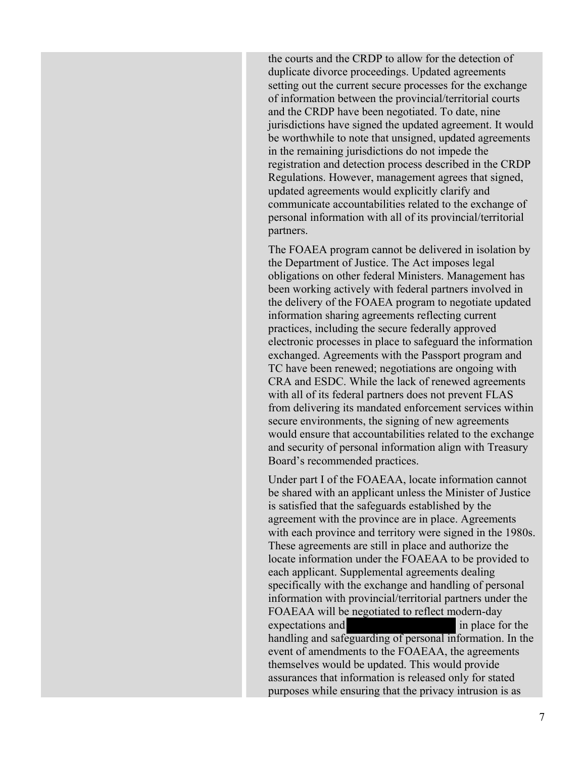the courts and the CRDP to allow for the detection of duplicate divorce proceedings. Updated agreements setting out the current secure processes for the exchange of information between the provincial/territorial courts and the CRDP have been negotiated. To date, nine jurisdictions have signed the updated agreement. It would be worthwhile to note that unsigned, updated agreements in the remaining jurisdictions do not impede the registration and detection process described in the CRDP Regulations. However, management agrees that signed, updated agreements would explicitly clarify and communicate accountabilities related to the exchange of personal information with all of its provincial/territorial partners.

The FOAEA program cannot be delivered in isolation by the Department of Justice. The Act imposes legal obligations on other federal Ministers. Management has been working actively with federal partners involved in the delivery of the FOAEA program to negotiate updated information sharing agreements reflecting current practices, including the secure federally approved electronic processes in place to safeguard the information exchanged. Agreements with the Passport program and TC have been renewed; negotiations are ongoing with CRA and ESDC. While the lack of renewed agreements with all of its federal partners does not prevent FLAS from delivering its mandated enforcement services within secure environments, the signing of new agreements would ensure that accountabilities related to the exchange and security of personal information align with Treasury Board's recommended practices.

Under part I of the FOAEAA, locate information cannot be shared with an applicant unless the Minister of Justice is satisfied that the safeguards established by the agreement with the province are in place. Agreements with each province and territory were signed in the 1980s. These agreements are still in place and authorize the locate information under the FOAEAA to be provided to each applicant. Supplemental agreements dealing specifically with the exchange and handling of personal information with provincial/territorial partners under the FOAEAA will be negotiated to reflect modern-day expectations and in place for the handling and safeguarding of personal information. In the event of amendments to the FOAEAA, the agreements themselves would be updated. This would provide assurances that information is released only for stated purposes while ensuring that the privacy intrusion is as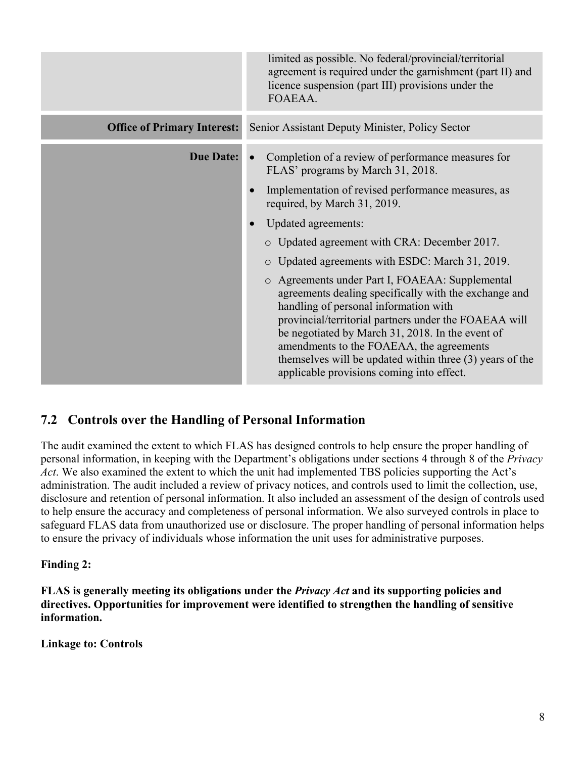|                                    | limited as possible. No federal/provincial/territorial<br>agreement is required under the garnishment (part II) and<br>licence suspension (part III) provisions under the<br>FOAEAA.                                                                                                                                                                                                                                                                                                                                                                                                                                                                                                                                                                                     |
|------------------------------------|--------------------------------------------------------------------------------------------------------------------------------------------------------------------------------------------------------------------------------------------------------------------------------------------------------------------------------------------------------------------------------------------------------------------------------------------------------------------------------------------------------------------------------------------------------------------------------------------------------------------------------------------------------------------------------------------------------------------------------------------------------------------------|
| <b>Office of Primary Interest:</b> | Senior Assistant Deputy Minister, Policy Sector                                                                                                                                                                                                                                                                                                                                                                                                                                                                                                                                                                                                                                                                                                                          |
| <b>Due Date:</b>                   | Completion of a review of performance measures for<br>$\bullet$<br>FLAS' programs by March 31, 2018.<br>Implementation of revised performance measures, as<br>required, by March 31, 2019.<br><b>Updated agreements:</b><br>$\bullet$<br>o Updated agreement with CRA: December 2017.<br>Updated agreements with ESDC: March 31, 2019.<br>$\circ$<br>o Agreements under Part I, FOAEAA: Supplemental<br>agreements dealing specifically with the exchange and<br>handling of personal information with<br>provincial/territorial partners under the FOAEAA will<br>be negotiated by March 31, 2018. In the event of<br>amendments to the FOAEAA, the agreements<br>themselves will be updated within three (3) years of the<br>applicable provisions coming into effect. |

### **7.2 Controls over the Handling of Personal Information**

The audit examined the extent to which FLAS has designed controls to help ensure the proper handling of personal information, in keeping with the Department's obligations under sections 4 through 8 of the *Privacy Act*. We also examined the extent to which the unit had implemented TBS policies supporting the Act's administration. The audit included a review of privacy notices, and controls used to limit the collection, use, disclosure and retention of personal information. It also included an assessment of the design of controls used to help ensure the accuracy and completeness of personal information. We also surveyed controls in place to safeguard FLAS data from unauthorized use or disclosure. The proper handling of personal information helps to ensure the privacy of individuals whose information the unit uses for administrative purposes.

#### **Finding 2:**

**FLAS is generally meeting its obligations under the** *Privacy Act* **and its supporting policies and directives. Opportunities for improvement were identified to strengthen the handling of sensitive information.** 

**Linkage to: Controls**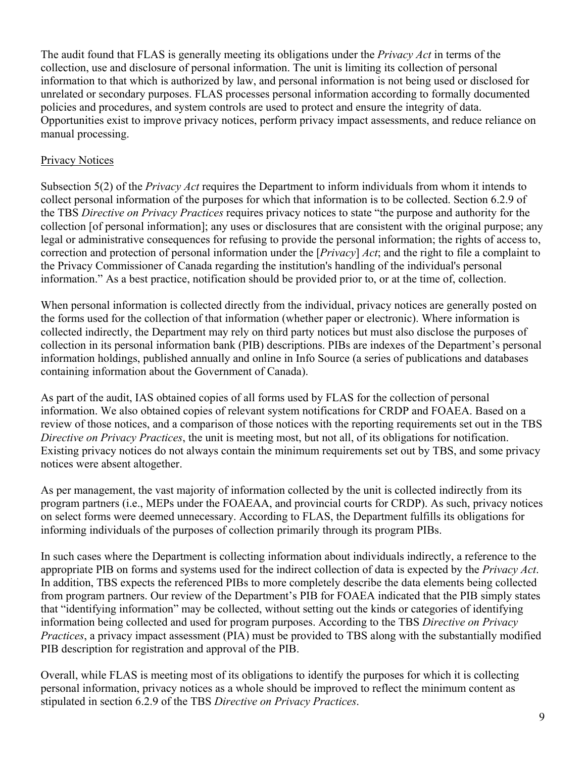The audit found that FLAS is generally meeting its obligations under the *Privacy Act* in terms of the collection, use and disclosure of personal information. The unit is limiting its collection of personal information to that which is authorized by law, and personal information is not being used or disclosed for unrelated or secondary purposes. FLAS processes personal information according to formally documented policies and procedures, and system controls are used to protect and ensure the integrity of data. Opportunities exist to improve privacy notices, perform privacy impact assessments, and reduce reliance on manual processing.

#### Privacy Notices

Subsection 5(2) of the *Privacy Act* requires the Department to inform individuals from whom it intends to collect personal information of the purposes for which that information is to be collected. Section 6.2.9 of the TBS *Directive on Privacy Practices* requires privacy notices to state "the purpose and authority for the collection [of personal information]; any uses or disclosures that are consistent with the original purpose; any legal or administrative consequences for refusing to provide the personal information; the rights of access to, correction and protection of personal information under the [*Privacy*] *Act*; and the right to file a complaint to the Privacy Commissioner of Canada regarding the institution's handling of the individual's personal information." As a best practice, notification should be provided prior to, or at the time of, collection.

When personal information is collected directly from the individual, privacy notices are generally posted on the forms used for the collection of that information (whether paper or electronic). Where information is collected indirectly, the Department may rely on third party notices but must also disclose the purposes of collection in its personal information bank (PIB) descriptions. PIBs are indexes of the Department's personal information holdings, published annually and online in Info Source (a series of publications and databases containing information about the Government of Canada).

As part of the audit, IAS obtained copies of all forms used by FLAS for the collection of personal information. We also obtained copies of relevant system notifications for CRDP and FOAEA. Based on a review of those notices, and a comparison of those notices with the reporting requirements set out in the TBS *Directive on Privacy Practices*, the unit is meeting most, but not all, of its obligations for notification. Existing privacy notices do not always contain the minimum requirements set out by TBS, and some privacy notices were absent altogether.

As per management, the vast majority of information collected by the unit is collected indirectly from its program partners (i.e., MEPs under the FOAEAA, and provincial courts for CRDP). As such, privacy notices on select forms were deemed unnecessary. According to FLAS, the Department fulfills its obligations for informing individuals of the purposes of collection primarily through its program PIBs.

In such cases where the Department is collecting information about individuals indirectly, a reference to the appropriate PIB on forms and systems used for the indirect collection of data is expected by the *Privacy Act*. In addition, TBS expects the referenced PIBs to more completely describe the data elements being collected from program partners. Our review of the Department's PIB for FOAEA indicated that the PIB simply states that "identifying information" may be collected, without setting out the kinds or categories of identifying information being collected and used for program purposes. According to the TBS *Directive on Privacy Practices*, a privacy impact assessment (PIA) must be provided to TBS along with the substantially modified PIB description for registration and approval of the PIB.

Overall, while FLAS is meeting most of its obligations to identify the purposes for which it is collecting personal information, privacy notices as a whole should be improved to reflect the minimum content as stipulated in section 6.2.9 of the TBS *Directive on Privacy Practices*.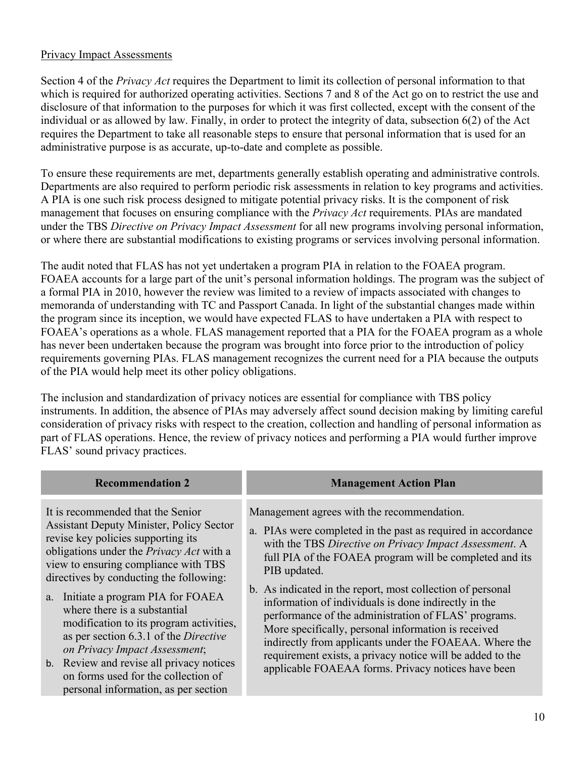#### Privacy Impact Assessments

Section 4 of the *Privacy Act* requires the Department to limit its collection of personal information to that which is required for authorized operating activities. Sections 7 and 8 of the Act go on to restrict the use and disclosure of that information to the purposes for which it was first collected, except with the consent of the individual or as allowed by law. Finally, in order to protect the integrity of data, subsection 6(2) of the Act requires the Department to take all reasonable steps to ensure that personal information that is used for an administrative purpose is as accurate, up-to-date and complete as possible.

To ensure these requirements are met, departments generally establish operating and administrative controls. Departments are also required to perform periodic risk assessments in relation to key programs and activities. A PIA is one such risk process designed to mitigate potential privacy risks. It is the component of risk management that focuses on ensuring compliance with the *Privacy Act* requirements. PIAs are mandated under the TBS *Directive on Privacy Impact Assessment* for all new programs involving personal information, or where there are substantial modifications to existing programs or services involving personal information.

The audit noted that FLAS has not yet undertaken a program PIA in relation to the FOAEA program. FOAEA accounts for a large part of the unit's personal information holdings. The program was the subject of a formal PIA in 2010, however the review was limited to a review of impacts associated with changes to memoranda of understanding with TC and Passport Canada. In light of the substantial changes made within the program since its inception, we would have expected FLAS to have undertaken a PIA with respect to FOAEA's operations as a whole. FLAS management reported that a PIA for the FOAEA program as a whole has never been undertaken because the program was brought into force prior to the introduction of policy requirements governing PIAs. FLAS management recognizes the current need for a PIA because the outputs of the PIA would help meet its other policy obligations.

The inclusion and standardization of privacy notices are essential for compliance with TBS policy instruments. In addition, the absence of PIAs may adversely affect sound decision making by limiting careful consideration of privacy risks with respect to the creation, collection and handling of personal information as part of FLAS operations. Hence, the review of privacy notices and performing a PIA would further improve FLAS' sound privacy practices.

| <b>Recommendation 2</b>                                                                                                                                                                                                                                                                                                                                                                                                                                                                                                                                                                        | <b>Management Action Plan</b>                                                                                                                                                                                                                                                                                                                                                                                                                                                                                                                                                                                                                                     |
|------------------------------------------------------------------------------------------------------------------------------------------------------------------------------------------------------------------------------------------------------------------------------------------------------------------------------------------------------------------------------------------------------------------------------------------------------------------------------------------------------------------------------------------------------------------------------------------------|-------------------------------------------------------------------------------------------------------------------------------------------------------------------------------------------------------------------------------------------------------------------------------------------------------------------------------------------------------------------------------------------------------------------------------------------------------------------------------------------------------------------------------------------------------------------------------------------------------------------------------------------------------------------|
| It is recommended that the Senior<br><b>Assistant Deputy Minister, Policy Sector</b><br>revise key policies supporting its<br>obligations under the <i>Privacy Act</i> with a<br>view to ensuring compliance with TBS<br>directives by conducting the following:<br>a. Initiate a program PIA for FOAEA<br>where there is a substantial<br>modification to its program activities,<br>as per section 6.3.1 of the <i>Directive</i><br>on Privacy Impact Assessment;<br>b. Review and revise all privacy notices<br>on forms used for the collection of<br>personal information, as per section | Management agrees with the recommendation.<br>a. PIAs were completed in the past as required in accordance<br>with the TBS Directive on Privacy Impact Assessment. A<br>full PIA of the FOAEA program will be completed and its<br>PIB updated.<br>b. As indicated in the report, most collection of personal<br>information of individuals is done indirectly in the<br>performance of the administration of FLAS' programs.<br>More specifically, personal information is received<br>indirectly from applicants under the FOAEAA. Where the<br>requirement exists, a privacy notice will be added to the<br>applicable FOAEAA forms. Privacy notices have been |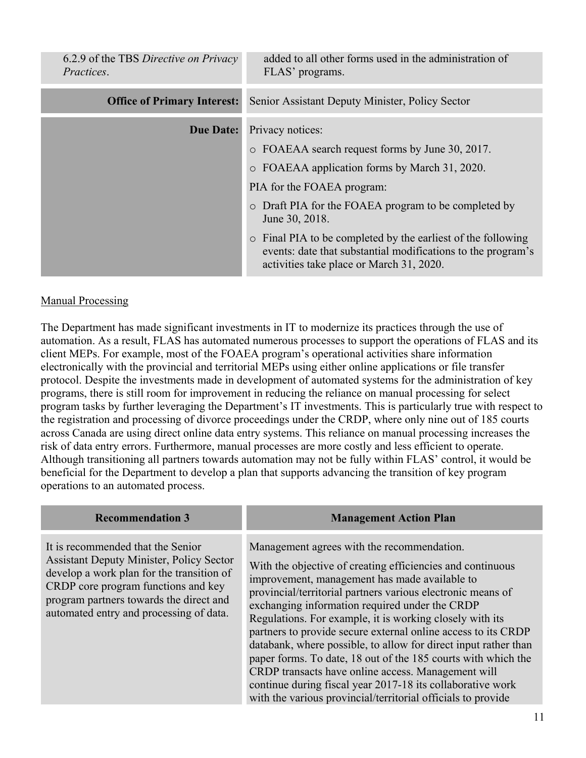| 6.2.9 of the TBS Directive on Privacy<br>Practices. | added to all other forms used in the administration of<br>FLAS' programs.                                                                                                |
|-----------------------------------------------------|--------------------------------------------------------------------------------------------------------------------------------------------------------------------------|
| <b>Office of Primary Interest:</b>                  | Senior Assistant Deputy Minister, Policy Sector                                                                                                                          |
| <b>Due Date:</b>                                    | Privacy notices:                                                                                                                                                         |
|                                                     | o FOAEAA search request forms by June 30, 2017.                                                                                                                          |
|                                                     | o FOAEAA application forms by March 31, 2020.                                                                                                                            |
|                                                     | PIA for the FOAEA program:                                                                                                                                               |
|                                                     | • Draft PIA for the FOAEA program to be completed by<br>June 30, 2018.                                                                                                   |
|                                                     | • Final PIA to be completed by the earliest of the following<br>events: date that substantial modifications to the program's<br>activities take place or March 31, 2020. |

#### Manual Processing

The Department has made significant investments in IT to modernize its practices through the use of automation. As a result, FLAS has automated numerous processes to support the operations of FLAS and its client MEPs. For example, most of the FOAEA program's operational activities share information electronically with the provincial and territorial MEPs using either online applications or file transfer protocol. Despite the investments made in development of automated systems for the administration of key programs, there is still room for improvement in reducing the reliance on manual processing for select program tasks by further leveraging the Department's IT investments. This is particularly true with respect to the registration and processing of divorce proceedings under the CRDP, where only nine out of 185 courts across Canada are using direct online data entry systems. This reliance on manual processing increases the risk of data entry errors. Furthermore, manual processes are more costly and less efficient to operate. Although transitioning all partners towards automation may not be fully within FLAS' control, it would be beneficial for the Department to develop a plan that supports advancing the transition of key program operations to an automated process.

| <b>Recommendation 3</b>                                                                                                                                                                                                                                        | <b>Management Action Plan</b>                                                                                                                                                                                                                                                                                                                                                                                                                                                                                                                                                                                                                                                                                                   |
|----------------------------------------------------------------------------------------------------------------------------------------------------------------------------------------------------------------------------------------------------------------|---------------------------------------------------------------------------------------------------------------------------------------------------------------------------------------------------------------------------------------------------------------------------------------------------------------------------------------------------------------------------------------------------------------------------------------------------------------------------------------------------------------------------------------------------------------------------------------------------------------------------------------------------------------------------------------------------------------------------------|
| It is recommended that the Senior<br><b>Assistant Deputy Minister, Policy Sector</b><br>develop a work plan for the transition of<br>CRDP core program functions and key<br>program partners towards the direct and<br>automated entry and processing of data. | Management agrees with the recommendation.<br>With the objective of creating efficiencies and continuous<br>improvement, management has made available to<br>provincial/territorial partners various electronic means of<br>exchanging information required under the CRDP<br>Regulations. For example, it is working closely with its<br>partners to provide secure external online access to its CRDP<br>databank, where possible, to allow for direct input rather than<br>paper forms. To date, 18 out of the 185 courts with which the<br>CRDP transacts have online access. Management will<br>continue during fiscal year 2017-18 its collaborative work<br>with the various provincial/territorial officials to provide |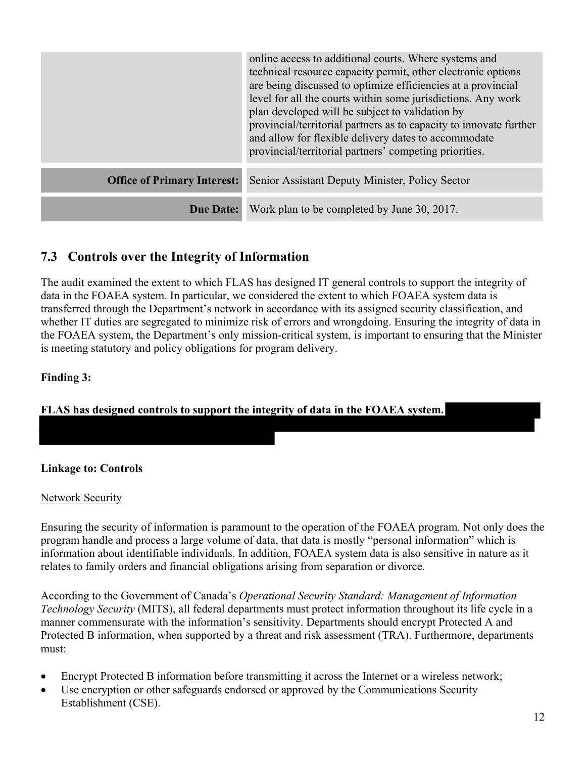|                                    | online access to additional courts. Where systems and<br>technical resource capacity permit, other electronic options<br>are being discussed to optimize efficiencies at a provincial<br>level for all the courts within some jurisdictions. Any work<br>plan developed will be subject to validation by<br>provincial/territorial partners as to capacity to innovate further<br>and allow for flexible delivery dates to accommodate<br>provincial/territorial partners' competing priorities. |
|------------------------------------|--------------------------------------------------------------------------------------------------------------------------------------------------------------------------------------------------------------------------------------------------------------------------------------------------------------------------------------------------------------------------------------------------------------------------------------------------------------------------------------------------|
| <b>Office of Primary Interest:</b> | Senior Assistant Deputy Minister, Policy Sector                                                                                                                                                                                                                                                                                                                                                                                                                                                  |
| <b>Due Date:</b>                   | Work plan to be completed by June 30, 2017.                                                                                                                                                                                                                                                                                                                                                                                                                                                      |

## **7.3 Controls over the Integrity of Information**

The audit examined the extent to which FLAS has designed IT general controls to support the integrity of data in the FOAEA system. In particular, we considered the extent to which FOAEA system data is transferred through the Department's network in accordance with its assigned security classification, and whether IT duties are segregated to minimize risk of errors and wrongdoing. Ensuring the integrity of data in the FOAEA system, the Department's only mission-critical system, is important to ensuring that the Minister is meeting statutory and policy obligations for program delivery.

#### **Finding 3:**

**FLAS has designed controls to support the integrity of data in the FOAEA system.** 

#### **Linkage to: Controls**

#### **Network Security**

Ensuring the security of information is paramount to the operation of the FOAEA program. Not only does the program handle and process a large volume of data, that data is mostly "personal information" which is information about identifiable individuals. In addition, FOAEA system data is also sensitive in nature as it relates to family orders and financial obligations arising from separation or divorce.

According to the Government of Canada's *Operational Security Standard: Management of Information Technology Security* (MITS), all federal departments must protect information throughout its life cycle in a manner commensurate with the information's sensitivity. Departments should encrypt Protected A and Protected B information, when supported by a threat and risk assessment (TRA). Furthermore, departments must:

- Encrypt Protected B information before transmitting it across the Internet or a wireless network;
- Use encryption or other safeguards endorsed or approved by the Communications Security Establishment (CSE).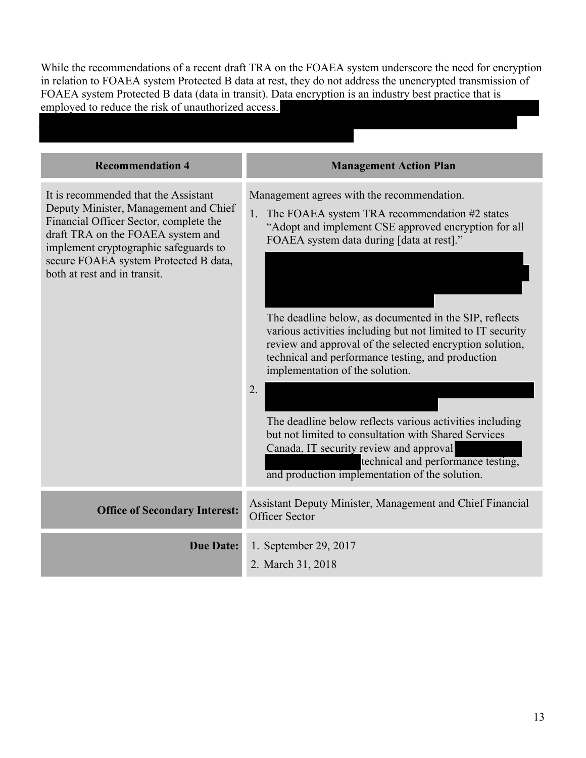While the recommendations of a recent draft TRA on the FOAEA system underscore the need for encryption in relation to FOAEA system Protected B data at rest, they do not address the unencrypted transmission of FOAEA system Protected B data (data in transit). Data encryption is an industry best practice that is employed to reduce the risk of unauthorized access.

| <b>Recommendation 4</b>                                                                                                                                                                                                                                                        | <b>Management Action Plan</b>                                                                                                                                                                                                                                                                                                                                                                                                                                                                                                                                                                                                                                                                                                                 |
|--------------------------------------------------------------------------------------------------------------------------------------------------------------------------------------------------------------------------------------------------------------------------------|-----------------------------------------------------------------------------------------------------------------------------------------------------------------------------------------------------------------------------------------------------------------------------------------------------------------------------------------------------------------------------------------------------------------------------------------------------------------------------------------------------------------------------------------------------------------------------------------------------------------------------------------------------------------------------------------------------------------------------------------------|
| It is recommended that the Assistant<br>Deputy Minister, Management and Chief<br>Financial Officer Sector, complete the<br>draft TRA on the FOAEA system and<br>implement cryptographic safeguards to<br>secure FOAEA system Protected B data,<br>both at rest and in transit. | Management agrees with the recommendation.<br>1. The FOAEA system TRA recommendation #2 states<br>"Adopt and implement CSE approved encryption for all<br>FOAEA system data during [data at rest]."<br>The deadline below, as documented in the SIP, reflects<br>various activities including but not limited to IT security<br>review and approval of the selected encryption solution,<br>technical and performance testing, and production<br>implementation of the solution.<br>2.<br>The deadline below reflects various activities including<br>but not limited to consultation with Shared Services<br>Canada, IT security review and approval<br>technical and performance testing,<br>and production implementation of the solution. |
| <b>Office of Secondary Interest:</b>                                                                                                                                                                                                                                           | Assistant Deputy Minister, Management and Chief Financial<br><b>Officer Sector</b>                                                                                                                                                                                                                                                                                                                                                                                                                                                                                                                                                                                                                                                            |
| <b>Due Date:</b>                                                                                                                                                                                                                                                               | 1. September 29, 2017<br>2. March 31, 2018                                                                                                                                                                                                                                                                                                                                                                                                                                                                                                                                                                                                                                                                                                    |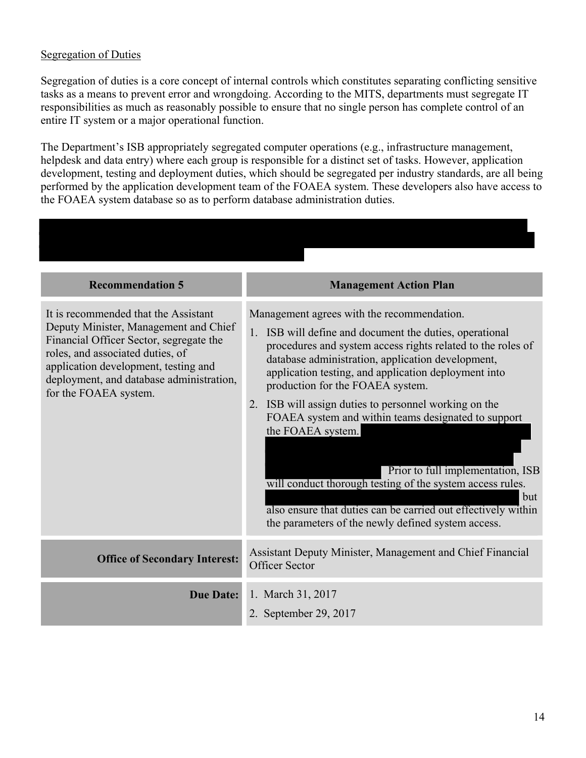#### Segregation of Duties

Segregation of duties is a core concept of internal controls which constitutes separating conflicting sensitive tasks as a means to prevent error and wrongdoing. According to the MITS, departments must segregate IT responsibilities as much as reasonably possible to ensure that no single person has complete control of an entire IT system or a major operational function.

The Department's ISB appropriately segregated computer operations (e.g., infrastructure management, helpdesk and data entry) where each group is responsible for a distinct set of tasks. However, application development, testing and deployment duties, which should be segregated per industry standards, are all being performed by the application development team of the FOAEA system. These developers also have access to the FOAEA system database so as to perform database administration duties.

| <b>Recommendation 5</b>                                                                                                                                                                                                                                                   | <b>Management Action Plan</b>                                                                                                                                                                                                                                                                                                                                                                                                                                                                                                                                                                                                                                                              |
|---------------------------------------------------------------------------------------------------------------------------------------------------------------------------------------------------------------------------------------------------------------------------|--------------------------------------------------------------------------------------------------------------------------------------------------------------------------------------------------------------------------------------------------------------------------------------------------------------------------------------------------------------------------------------------------------------------------------------------------------------------------------------------------------------------------------------------------------------------------------------------------------------------------------------------------------------------------------------------|
| It is recommended that the Assistant<br>Deputy Minister, Management and Chief<br>Financial Officer Sector, segregate the<br>roles, and associated duties, of<br>application development, testing and<br>deployment, and database administration,<br>for the FOAEA system. | Management agrees with the recommendation.<br>1. ISB will define and document the duties, operational<br>procedures and system access rights related to the roles of<br>database administration, application development,<br>application testing, and application deployment into<br>production for the FOAEA system.<br>2. ISB will assign duties to personnel working on the<br>FOAEA system and within teams designated to support<br>the FOAEA system.<br>Prior to full implementation, ISB<br>will conduct thorough testing of the system access rules.<br>but<br>also ensure that duties can be carried out effectively within<br>the parameters of the newly defined system access. |
| <b>Office of Secondary Interest:</b>                                                                                                                                                                                                                                      | Assistant Deputy Minister, Management and Chief Financial<br><b>Officer Sector</b>                                                                                                                                                                                                                                                                                                                                                                                                                                                                                                                                                                                                         |
| <b>Due Date:</b>                                                                                                                                                                                                                                                          | 1. March 31, 2017<br>2. September 29, 2017                                                                                                                                                                                                                                                                                                                                                                                                                                                                                                                                                                                                                                                 |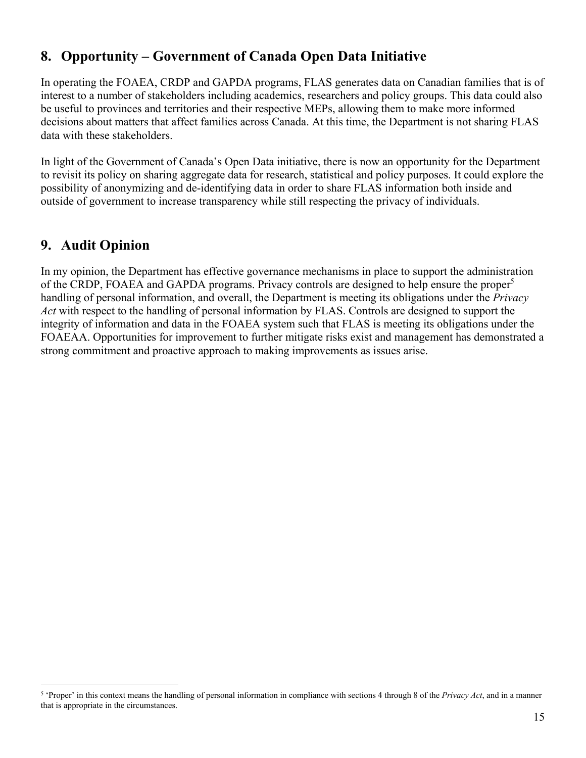# **8. Opportunity – Government of Canada Open Data Initiative**

In operating the FOAEA, CRDP and GAPDA programs, FLAS generates data on Canadian families that is of interest to a number of stakeholders including academics, researchers and policy groups. This data could also be useful to provinces and territories and their respective MEPs, allowing them to make more informed decisions about matters that affect families across Canada. At this time, the Department is not sharing FLAS data with these stakeholders.

In light of the Government of Canada's Open Data initiative, there is now an opportunity for the Department to revisit its policy on sharing aggregate data for research, statistical and policy purposes. It could explore the possibility of anonymizing and de-identifying data in order to share FLAS information both inside and outside of government to increase transparency while still respecting the privacy of individuals.

### **9. Audit Opinion**

In my opinion, the Department has effective governance mechanisms in place to support the administration of the CRDP, FOAEA and GAPDA programs. Privacy controls are designed to help ensure the proper<sup>5</sup> handling of personal information, and overall, the Department is meeting its obligations under the *Privacy Act* with respect to the handling of personal information by FLAS. Controls are designed to support the integrity of information and data in the FOAEA system such that FLAS is meeting its obligations under the FOAEAA. Opportunities for improvement to further mitigate risks exist and management has demonstrated a strong commitment and proactive approach to making improvements as issues arise.

 5 'Proper' in this context means the handling of personal information in compliance with sections 4 through 8 of the *Privacy Act*, and in a manner that is appropriate in the circumstances.